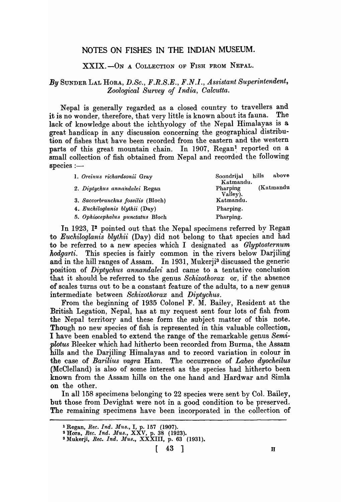# NOTES ON FISHES IN THE INDIAN MUSEUM.

XXIX.-ON A COLLECTION OF FISH FROM NEPAL.

# *By* SUNDER LAL HORA, *D.Sc., F.R.S.E., F.N.I., Assistant Superintendent, Zoological Su'rvey of India, Calcutta.*

Nepal is generally regarded as a closed country to travellers and<br>s no wonder therefore that yery little is known about its fauna. The it is no wonder, therefore, that very little is known about its fauna. lack of knowledge about the ichthyology of the Nepal Himalayas is a great handicap in any discussion concerning the geographical distribution of fishes that have been recorded from the eastern and the western parts of this great mountain chain. In 1907, Regan<sup>1</sup> reported on a small collection of fish obtained from Nepal and recorded the following  $species:$ 

| 1. Oreinus richardsonii Gray       | above<br>hills<br>Soondrijal       |
|------------------------------------|------------------------------------|
| 2. Diptychus annandalei Regan      | Katmandu.<br>(Katmandu<br>Pharping |
|                                    | $Va\bar{l}ley$ ).                  |
| 3. Saccorbranchus fossilis (Bloch) | Katmandu.                          |
| 4. Euchiloglanis blythii (Day)     | Pharping.                          |
| 5. Ophiocephalus punctatus Bloch   | Pharping.                          |

In 1923, I<sup>2</sup> pointed out that the Nepal specimens referred by Regan to *Euchiloglanis blythii* (Day) did not belong to that species and had to be referred to a new species which I designated as *Glyptosternum hodgarti.* This species is fairly common in the rivers below Darjiling and in the hill ranges of Assam. In 1931, Mukerji<sup>3</sup> discussed the generic position of *Diptychus annandalei* and came to a tentative conclusion that it should. be referred to the genus *Schizothorax* or, if the absence of scales turns out to be a constant feature of the adults, to a new genus intermediate between *Schizothorax* and *Diptychus*.

From the beginning of 1935 Colonel F. M. Bailey, Resident at the British Legation, Nepal, has at my request sent four lots of fish from the Nepal territory and these form the subject matter of this note. Though no new species of fish is represented in this valuable collection, I have been enabled to extend the range of the remarkable genus *Semiplotus* Bleeker which had hitherto been recorded from Burma, the Assam hills and the Darjiling Himalayas and to record variation in colour in the case of *Barilius vagra* Ham. The occurrence of *Labeo dyocheilus*  (McClelland) is also of some interest as the species had hitherto been known from the Assam hills on the one hand and Hardwar and Simla on the other.

In all 158 specimens belonging to 22 species were sent by Col. Bailey, but those from Devighat were not in a good condition to be preserved. The remaining specimens have been incorporated in the collection of

<sup>1</sup>Regan, *Ree. Ind. MU8.,* I, p. 157 (1907).

<sup>2</sup>Hora., *Ree. Ind. Mus.,* XXV, p. 38 (1923).

<sup>3</sup> Mukerji, *Ree. Ind. Mus.,* XXXIII, p. 63 (1931).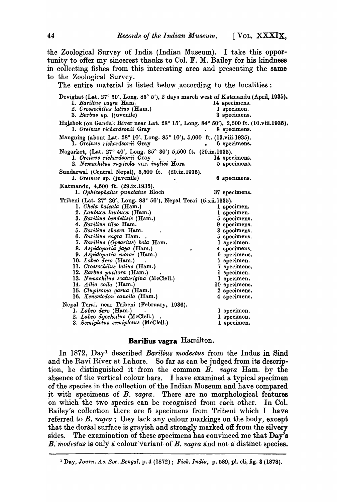the Zoological Survey of India (Indian Museum). I take this opportunity to offer my sincerest thanks to Col. F. M. Bailey for his kindness in collecting fishes, from this interesting area and presenting the same to the Zoological Survey.

The entire material is listed below, according to the localities:

| Devighat (Lat. 27° 50', Long. 85° 5'), 2 days march west of Katmandu (April, 1935).<br>1. Barilius vagra Ham.<br>2. Crossochilus latius (Ham.)<br>3. Barbus sp. (juvenile) | 14 specimens.<br>1 specimen.<br>3 specimens. |  |  |  |  |  |
|----------------------------------------------------------------------------------------------------------------------------------------------------------------------------|----------------------------------------------|--|--|--|--|--|
| Hulchok (on Gandak River near Lat. 28° 15', Long. 84° 50'), 2,500 ft. (10.viii.1935).<br>1. Oreinus richardsonii Gray                                                      | 8 specimens.                                 |  |  |  |  |  |
| Mangning (about Lat. 28° 10', Long. 85° 10'), 5,000 ft. (13.viii.1935).<br>1. Oreinus richardsonii Gray                                                                    | 6 specimens.                                 |  |  |  |  |  |
| Nagarkot, (Lat. 27° 40', Long. 85° 30') 5,500 ft. (20.ix.1935).                                                                                                            |                                              |  |  |  |  |  |
| 1. Oreinus richardsonii Gray                                                                                                                                               | 14 specimens.                                |  |  |  |  |  |
| 2. Nemachilus rupicola var. inglisi Hora                                                                                                                                   | 5 specimens.                                 |  |  |  |  |  |
| Sundarwal (Central Nepal), 5,500 ft. (20.ix.1935).                                                                                                                         |                                              |  |  |  |  |  |
| 1. Oreinus sp. (juvenile)                                                                                                                                                  | 6 specimens.                                 |  |  |  |  |  |
| Katmandu, 4,500 ft. (29.ix.1935).                                                                                                                                          |                                              |  |  |  |  |  |
| 1. Ophicephalus punctatus Bloch                                                                                                                                            | 37 specimens.                                |  |  |  |  |  |
| Tribeni (Lat. 27° 26′, Long. 83° 56′), Nepal Terai (5.xii.1935).                                                                                                           |                                              |  |  |  |  |  |
| 1. Chela baicala (Ham.)                                                                                                                                                    | 1 specimen.                                  |  |  |  |  |  |
| 2. Laubuca laubuca (Ham.)                                                                                                                                                  | 1 specimen.                                  |  |  |  |  |  |
| 3. Barilius bendelisis (Ham.)                                                                                                                                              | 5 specimens.                                 |  |  |  |  |  |
| 4. Barilius tileo Ham.                                                                                                                                                     | 9 specimens.                                 |  |  |  |  |  |
| 5. Barilius shacra Ham.                                                                                                                                                    | 3 specimens.                                 |  |  |  |  |  |
| 6. Barilius vagra Ham                                                                                                                                                      | 5 specimens.                                 |  |  |  |  |  |
| 7. Barilius (Opsarius) bola Ham.                                                                                                                                           | 1 specimen.                                  |  |  |  |  |  |
| 8. Aspidoparia jaya (Ham.)                                                                                                                                                 | 4 specimens.                                 |  |  |  |  |  |
| 9. Aspidoparia morar (Ham.)                                                                                                                                                | 6 specimens.                                 |  |  |  |  |  |
| 10. Labeo dero (Ham.)                                                                                                                                                      | 1 specimen.                                  |  |  |  |  |  |
| 11. Crossochilus latius (Ham.)                                                                                                                                             | 7 specimens.                                 |  |  |  |  |  |
| 12. Barbus putitora (Ham.)                                                                                                                                                 | 1 specimen.                                  |  |  |  |  |  |
| 13. Nemachilus scaturigina (McClell.)                                                                                                                                      | 1 specimen.                                  |  |  |  |  |  |
| 14. Ailia coila (Ham.)                                                                                                                                                     | 10 specimens.                                |  |  |  |  |  |
| 15. Clupisoma garua (Ham.)<br>16. Xenentodon cancila (Ham.)                                                                                                                | 2 specimens.<br>4 specimens.                 |  |  |  |  |  |
|                                                                                                                                                                            |                                              |  |  |  |  |  |
| Nepal Terai, near Tribeni (February, 1936).                                                                                                                                |                                              |  |  |  |  |  |
| $1.$ Labeo dero (Ham.)                                                                                                                                                     | 1 specimen.                                  |  |  |  |  |  |
| 2. Labeo dyocheilus (McClell.).                                                                                                                                            | 1 specimen.                                  |  |  |  |  |  |
| 3. Semiplotus semiplotus (McClell.)                                                                                                                                        | 1 specimen.                                  |  |  |  |  |  |

## **Barilius vagra** Hamilton.

In 1872, Day! described *Barilius modestus* from the Indus in Sind and the Ravi River at Lahore. So far as can be judged from its description, he distinguished it, from the common *B. vagra* Ham. by the absence of the vertical colour bars. I have examined a typical specimen of the species in the collection of the Indian Museum and have compared it with specimens of *B. vagra*. There are no morphological features on which the two species can be recognised from each other. In Col. Bailey's collection there are 5 specimens from Tribeni which I have referred to *B. vagra*; they lack any colour markings on the body, except that the dorsal surface is grayish and strongly marked off from the silvery sides. The examination of these specimens has convinced me that Day's *B. modestus* is only a colour variant of *B. vagra* and not a distinct species.

<sup>&</sup>lt;sup>1</sup> Day, *Journ. As. Soc. Bengal*, p. 4 (1872); *Fish. India*, p. 589, pl. cli, fig. 3 (1878).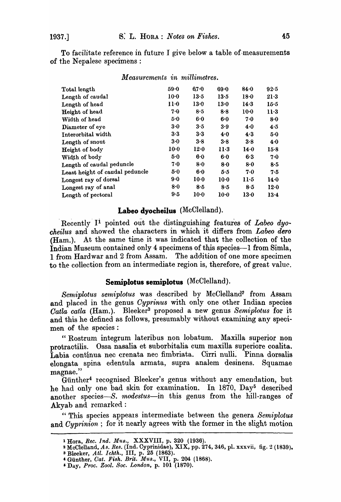To facilitate reference in future I give below a table of measurements of the Nepalese specimens :

| Total length                    | $59-0$          | 67.0   | 69.0            | 84.0   | 92.5   |
|---------------------------------|-----------------|--------|-----------------|--------|--------|
| Length of caudal                | $10-0$          | 13.5   | 13.5            | 18.0   | $21-3$ |
| Length of head                  | 11 <sub>0</sub> | 13.0   | 13.0            | 14.3   | $15-5$ |
| Height of head                  | 7.0             | 8.5    | 8.8             | $10-0$ | $11-3$ |
| Width of head                   | 5.0             | 6.0    | 6.0             | 7.0    | 8.0    |
| Diameter of eye                 | 3.0             | 3.5    | 3.9             | 4.0    | 4.5    |
| Interorbital width              | 3.3             | 3.3    | 4.0             | 4.3    | 5.0    |
| Length of snout                 | 3.0             | 3.8    | $3 - 8$         | 3.8    | 4.0    |
| Height of body                  | $10-0$          | 12.0   | $11-3$          | 14.0   | $15-8$ |
| Width of body                   | 5.0             | 6.0    | 6.0             | 6.3    | 7.0    |
| Length of caudal peduncle       | 7.0             | 8.0    | 8.0             | 8.0    | 8.5    |
| Least height of caudal peduncle | 5.0             | 6.0    | 5.5             | 7.0    | 7.5    |
| Longest ray of dorsal           | 9.0             | 10.0   | 10 <sub>0</sub> | $11-5$ | 14.0   |
| Longest ray of anal             | 8.0             | 8.5    | 8.5             | 8.5    | 12.0   |
| Length of pectoral              | 9.5             | $10-0$ | 10.0            | $13-0$ | 13.4   |
|                                 |                 |        |                 |        |        |

#### *Measurements in millimetres.*

# **Labeo dyocheilus** (McClelland).

Recently I<sup>i</sup> pointed out the distinguishing features of *Labeo dyocheilus* and showed the characters in which it differs from *Labeo dero* (Ham.). At the same time it was indicated that the collection of the Indian Museum contained only 4 specimens of this species-1 from Simla, 1 from Hardwar and 2 from Assam. The addition of one more specimen to the collection from an intermediate region is, therefore, of great value.

### **Semiplotus semiplotus** (McClelland).

Semiplotus semiplotus was described by McClelland<sup>2</sup> from Assam and placed in the genus *Oyprinus* with only one other Indian species *Gatla catla* (Ham.). Bleeker<sup>3</sup> proposed a new genus Semiplotus for it and this he defined as follows, presumably without examining any specimen of the species :

"Rostrum integrum lateribus non lobatum. Maxilla superior non protractilis. Ossa nasalia et suborbitalia cum maxilla superiore coalita. Labia continua nee crenata nee fimbriata. Cirri nulli. Pinna dorsalis elongata spina edentula armata, supra analem desinens. Squamae magnae."

Giinther4 recognised Bleeker's genus without any emendation, but he had only one bad skin for examination. In 1870, Day<sup>5</sup> described another species-S. modestus-in this genus from the hill-ranges of Akyab and remarked :

" This species appeals intermediate between the genera *Semiplotus*  and *Cyprinion*; for it nearly agrees with the former in the slight motion

<sup>1</sup> Hora, *Bee. Ind. Mus.,* XXXVIII, p. 320 (1936).

<sup>2</sup>McClelland, *As. Res.* (Ind. Cyprinidae), XIX, pp. 274, 346, pI. xxxvii, fig. 2 (1839).

<sup>3</sup> Bleeker, *Atl. lehth.,* III, p. 25 (1863).

<sup>&</sup>amp; Gunther, *Oat. Fish. Brit. Mus.,* VII, p. 204 (1868).

i Day, *Proc. Zool. Soc. London,* p. 101 (1870).